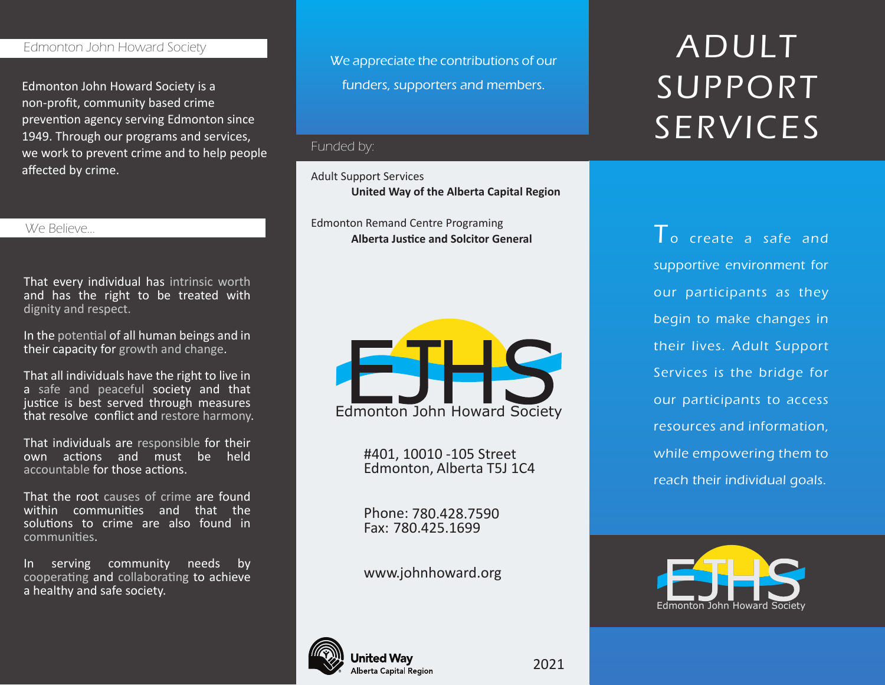## Edmonton John Howard Society

Edmonton John Howard Society is a non-profit, community based crime prevention agency serving Edmonton since 1949. Through our programs and services, we work to prevent crime and to help people affected by crime.

#### We Believe...

That every individual has intrinsic worth and has the right to be treated with dignity and respect.

In the potential of all human beings and in their capacity for growth and change.

That all individuals have the right to live in a safe and peaceful society and that justice is best served through measures that resolve conflict and restore harmony.

That individuals are responsible for their own actions and must be held accountable for those actions.

That the root causes of crime are found within communities and that the solutions to crime are also found in communi�es.

In serving community needs by cooperating and collaborating to achieve a healthy and safe society.

We appreciate the contributions of our funders, supporters and members.

## Funded by:

#### Adult Support Services

**United Way of the Alberta Capital Region**

Edmonton Remand Centre Programing **Alberta Justice and Solcitor General** T o create a safe and



#401, 10010 -105 Street Edmonton, Alberta T5J 1C4

Phone: 780.428.7590 Fax: 780.425.1699

www.johnhoward.org

# ADULT SUPPORT SERVICES

supportive environment for our participants as they begin to make changes in their lives. Adult Support Services is the bridge for our participants to access resources and information, while empowering them to reach their individual goals.